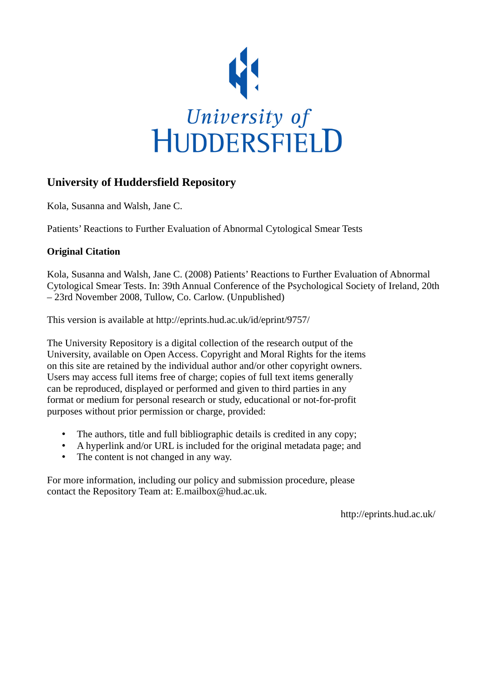

#### **University of Huddersfield Repository**

Kola, Susanna and Walsh, Jane C.

Patients' Reactions to Further Evaluation of Abnormal Cytological Smear Tests

#### **Original Citation**

Kola, Susanna and Walsh, Jane C. (2008) Patients' Reactions to Further Evaluation of Abnormal Cytological Smear Tests. In: 39th Annual Conference of the Psychological Society of Ireland, 20th – 23rd November 2008, Tullow, Co. Carlow. (Unpublished)

This version is available at http://eprints.hud.ac.uk/id/eprint/9757/

The University Repository is a digital collection of the research output of the University, available on Open Access. Copyright and Moral Rights for the items on this site are retained by the individual author and/or other copyright owners. Users may access full items free of charge; copies of full text items generally can be reproduced, displayed or performed and given to third parties in any format or medium for personal research or study, educational or not-for-profit purposes without prior permission or charge, provided:

- The authors, title and full bibliographic details is credited in any copy;
- A hyperlink and/or URL is included for the original metadata page; and
- The content is not changed in any way.

For more information, including our policy and submission procedure, please contact the Repository Team at: E.mailbox@hud.ac.uk.

http://eprints.hud.ac.uk/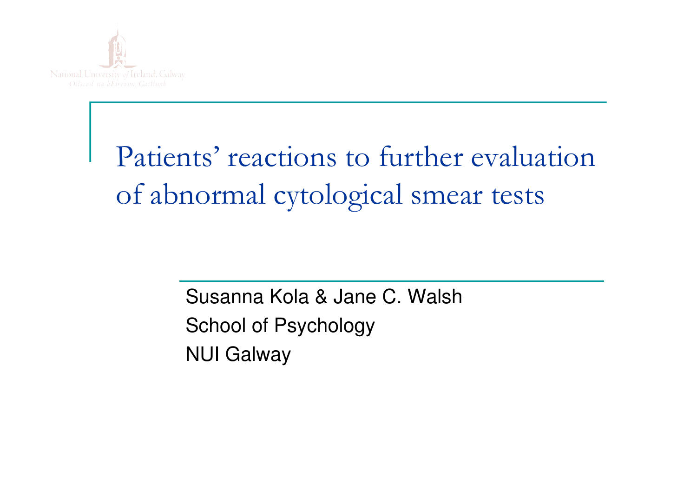

# Patients' reactions to further evaluation of abnormal cytological smear tests

Susanna Kola & Jane C. Walsh School of Psychology NUI Galway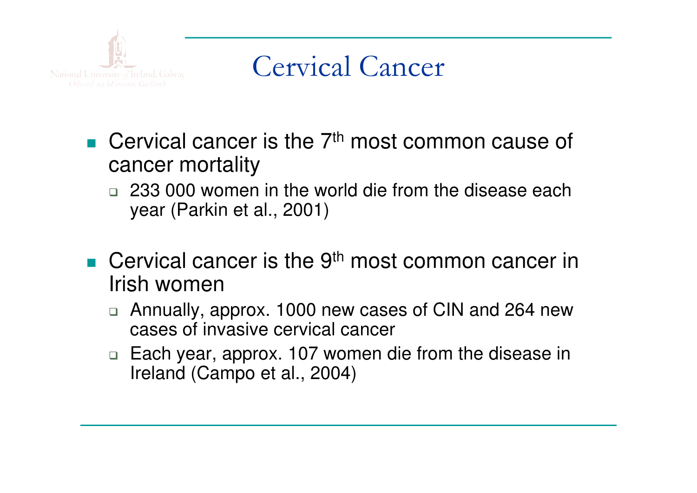

### Cervical Cancer

- F **Cervical cancer is the**  $7<sup>th</sup>$  **most common cause of** cancer mortality
	- □ 233 000 women in the world die from the disease each year (Parkin et al., 2001)
- F **Cervical cancer is the 9<sup>th</sup> most common cancer in** Irish women
	- □ Annually, approx. 1000 new cases of CIN and 264 new cases of invasive cervical cancer
	- □ Each year, approx. 107 women die from the disease in Ireland (Campo et al., 2004)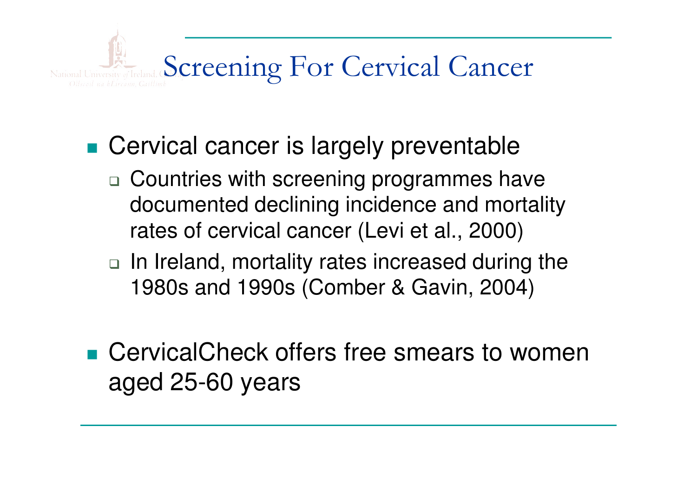

- Cervical cancer is largely preventable
	- $\Box$ □ Countries with screening programmes have documented declining incidence and mortality rates of cervical cancer (Levi et al., 2000)
	- □ In Ireland, mortality rates increased during the 1980s and 1990s (Comber & Gavin, 2004)
- CervicalCheck offers free smears to women aged 25-60 years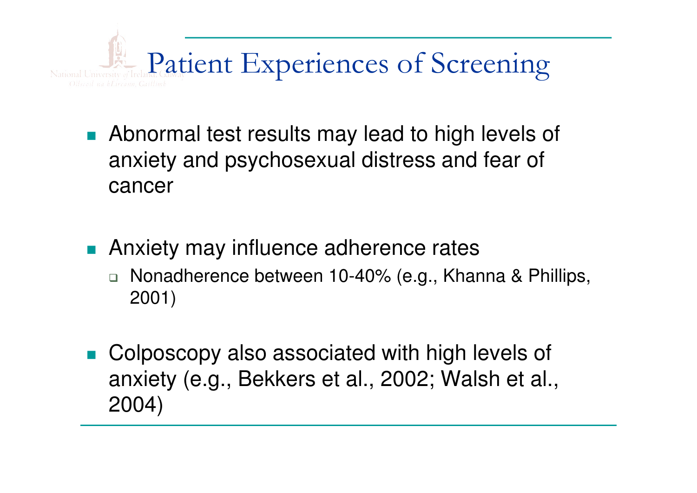

- b. **Abnormal test results may lead to high levels of** anxiety and psychosexual distress and fear of cancer
- F **Anxiety may influence adherence rates** 
	- □ Nonadherence between 10-40% (e.g., Khanna & Phillips, 2001)
- F **Colposcopy also associated with high levels of** anxiety (e.g., Bekkers et al., 2002; Walsh et al., 2004)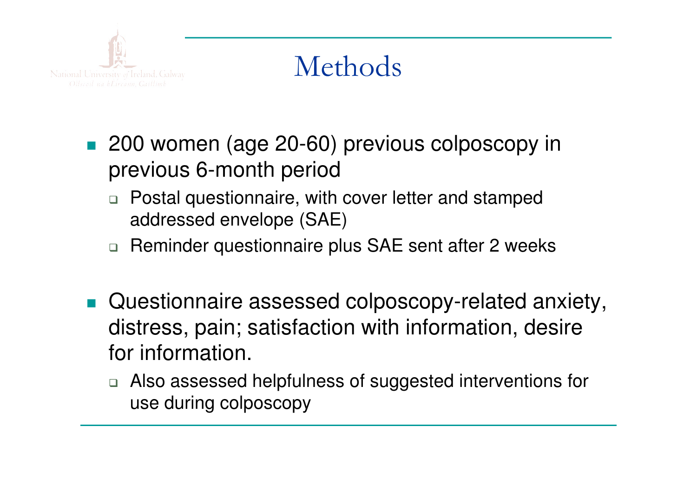

## Methods

- 200 women (age 20-60) previous colposcopy in previous 6-month period
	- □ Postal questionnaire, with cover letter and stamped addressed envelope (SAE)
	- $\Box$ Reminder questionnaire plus SAE sent after 2 weeks
- b. **Questionnaire assessed colposcopy-related anxiety,** distress, pain; satisfaction with information, desire for information.
	- □ Also assessed helpfulness of suggested interventions for use during colposcopy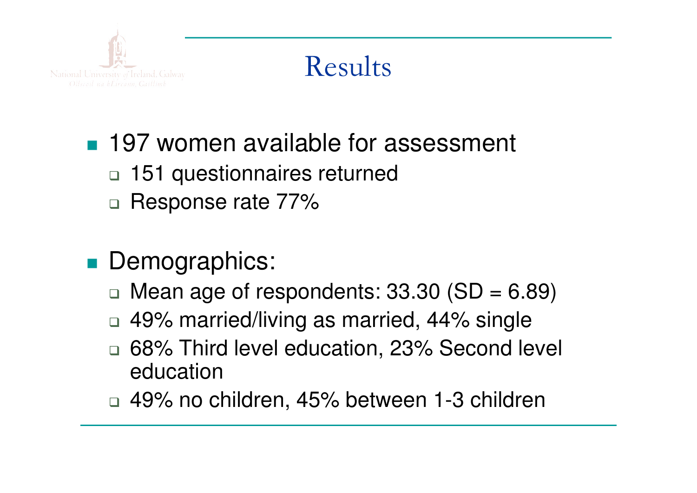

## Results

# ■ 197 women available for assessment

- □ 151 questionnaires returned
- $\Box$ Response rate 77%

# ■ Demographics:

- $\Box$  $\Box$  Mean age of respondents: 33.30 (SD = 6.89)
- □ 49% married/living as married, 44% single
- □ 68% Third level education, 23% Second level  $\Box$ education
- □ 49% no children, 45% between 1-3 children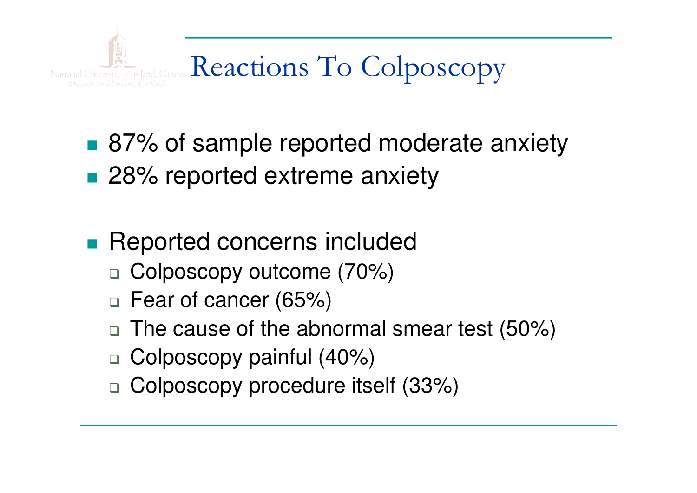

- 87% of sample reported moderate anxiety
- 28% reported extreme anxiety
- Reported concerns included
	- $\Box$ □ Colposcopy outcome (70%)
	- □ Fear of cancer (65%)
	- □ The cause of the abnormal smear test (50%)
	- $\Box$ □ Colposcopy painful (40%)
	- $\Box$ Colposcopy procedure itself (33%)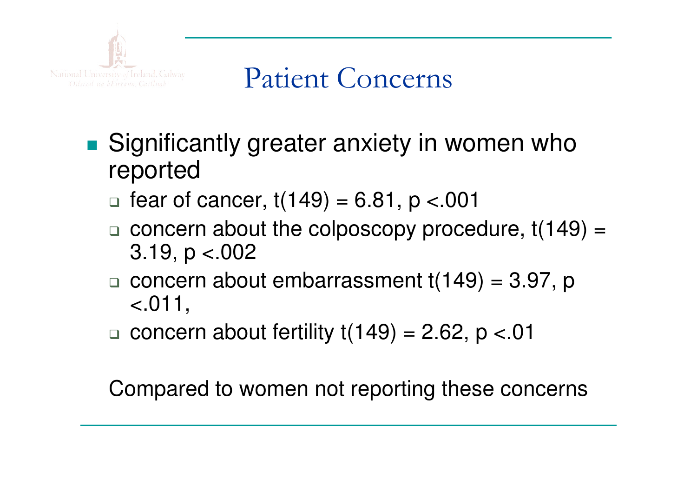

## Patient Concerns

- **Significantly greater anxiety in women who** reported
	- $\Box$  fear of cancer, t(149) = 6.81, p <.001
	- □ concern about the colposcopy procedure, t(149) =  $3.19, p < .002$
	- $\Box$  concern about embarrassment t(149) = 3.97, p  $\Box$  $< 011,$
	- $\Box$  concern about fertility t(149) = 2.62, p <.01

Compared to women not reporting these concerns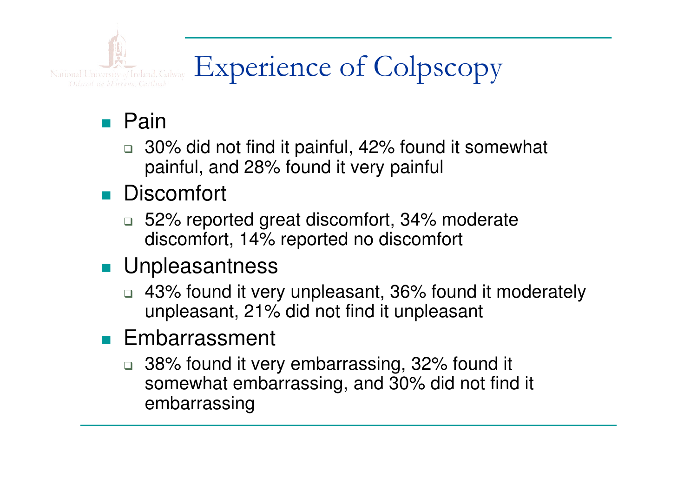

# Experience of Colpscopy

### ■ Pain

□ 30% did not find it painful, 42% found it somewhat painful, and 28% found it very painful

#### F ■ Discomfort

□ 52% reported great discomfort, 34% moderate discomfort, 14% reported no discomfort

### **Dimenseling Unpleasantness**

□ 43% found it very unpleasant, 36% found it moderately unpleasant, 21% did not find it unpleasant

### **Embarrassment**

□ 38% found it very embarrassing, 32% found it somewhat embarrassing, and 30% did not find it embarrassing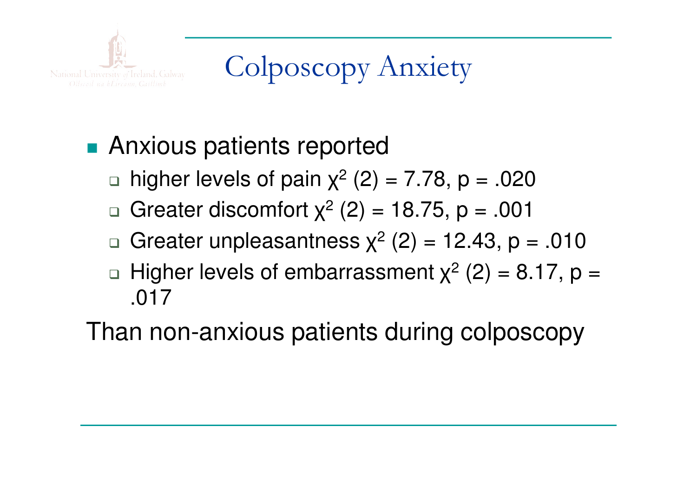

Colposcopy Anxiety

# **Anxious patients reported**

- $\Box$  higher levels of pain  $\chi^2$  (2) = 7.78, p = .020
- $\Box$  $□$  Greater discomfort χ<sup>2</sup> (2) = 18.75, p = .001
- $\Box$  $□$  Greater unpleasantness χ<sup>2</sup> (2) = 12.43, p = .010
- $\Box$  $\Box$  Higher levels of embarrassment  $\chi^2$  (2) = 8.17, p = .017

Than non-anxious patients during colposcopy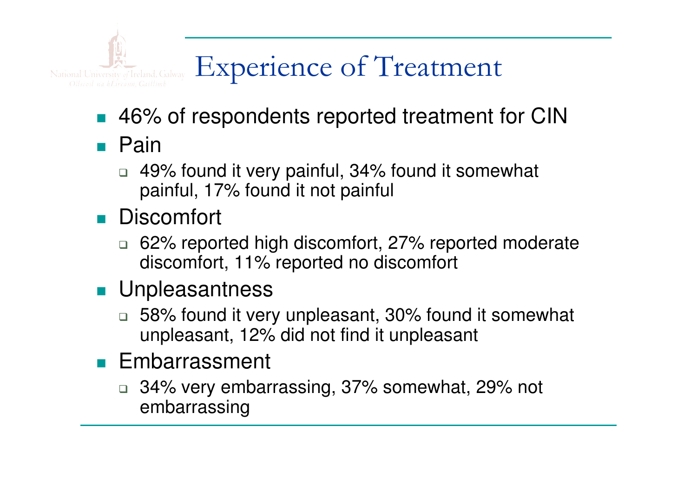

# Experience of Treatment

- F ■ 46% of respondents reported treatment for CIN
- Pain
	- □ 49% found it very painful, 34% found it somewhat painful, 17% found it not painful
- F ■ Discomfort
	- $\Box$  62% reported high discomfort, 27% reported moderatediscomfort, 11% reported no discomfort
- **Unpleasantness** 
	- □ 58% found it very unpleasant, 30% found it somewhat unpleasant, 12% did not find it unpleasant
- **Embarrassment** 
	- □ 34% very embarrassing, 37% somewhat, 29% not embarrassing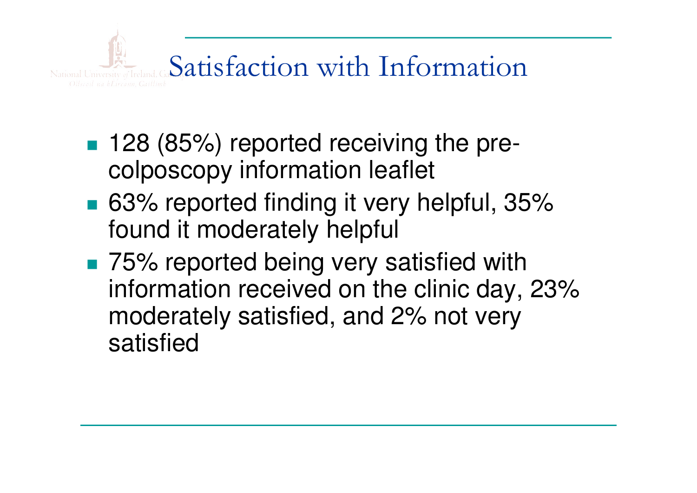

- 128 (85%) reported receiving the precolposcopy information leaflet
- 63% reported finding it very helpful, 35% found it moderately helpful
- 75% reported being very satisfied with information received on the clinic day, 23% moderately satisfied, and 2% not very satisfied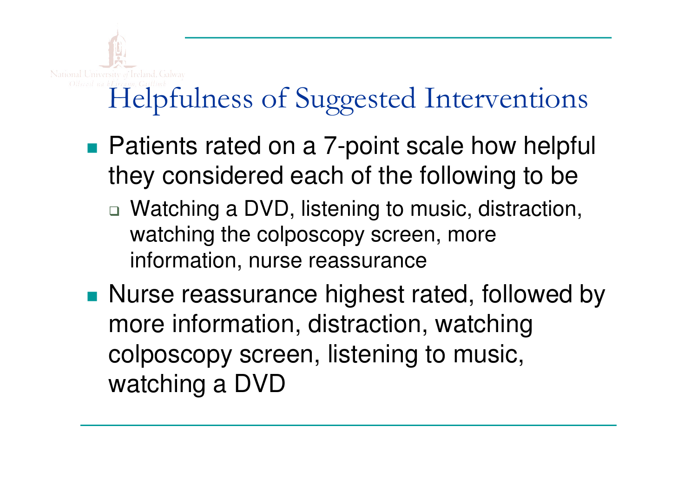# Helpfulness of Suggested Interventions

- **Patients rated on a 7-point scale how helpful** they considered each of the following to be
	- □ Watching a DVD, listening to music, distraction, watching the colposcopy screen, more information, nurse reassurance
- **Service Service Nurse reassurance highest rated, followed by** more information, distraction, watching colposcopy screen, listening to music, watching a DVD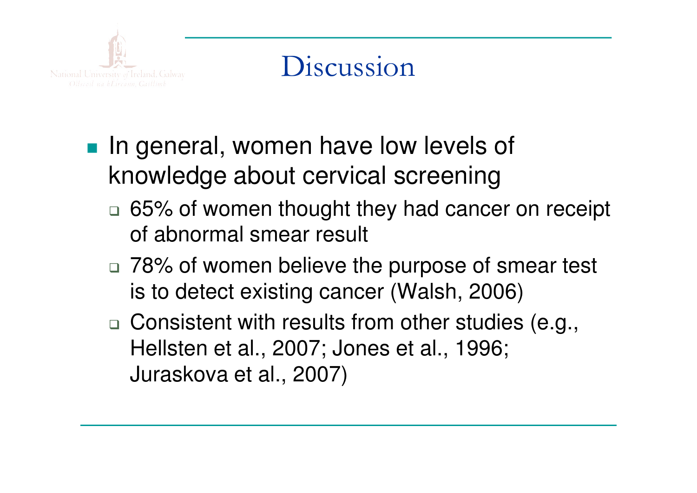

## Discussion

- **In general, women have low levels of** knowledge about cervical screening
	- □ 65% of women thought they had cancer on receipt of abnormal smear result
	- □ 78% of women believe the purpose of smear test is to detect existing cancer (Walsh, 2006)
	- $\Box$ □ Consistent with results from other studies (e.g., Hellsten et al., 2007; Jones et al., 1996; Juraskova et al., 2007)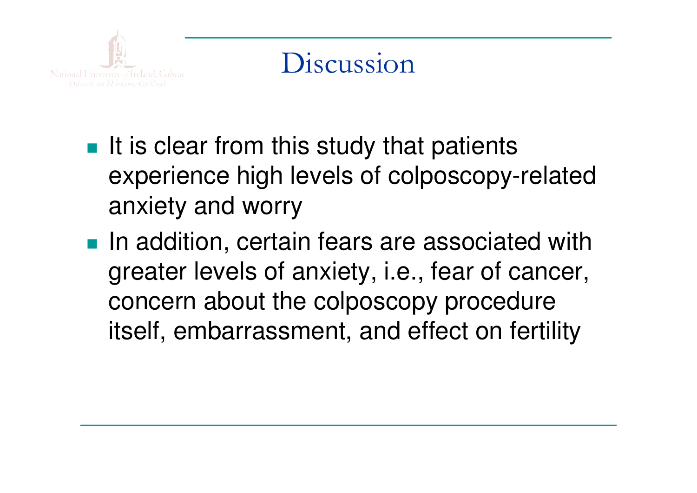

## Discussion

- $\blacksquare$  It is clear from this study that patients experience high levels of colposcopy-related anxiety and worry
- **In addition, certain fears are associated with** greater levels of anxiety, i.e., fear of cancer, concern about the colposcopy procedure itself, embarrassment, and effect on fertility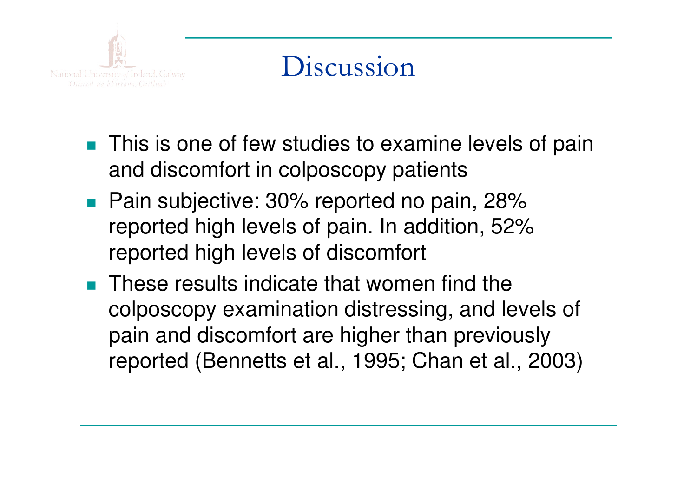

## Discussion

- F **This is one of few studies to examine levels of pain** and discomfort in colposcopy patients
- **Pain subjective: 30% reported no pain, 28%** reported high levels of pain. In addition, 52% reported high levels of discomfort
- F **These results indicate that women find the** colposcopy examination distressing, and levels of pain and discomfort are higher than previously reported (Bennetts et al., 1995; Chan et al., 2003)